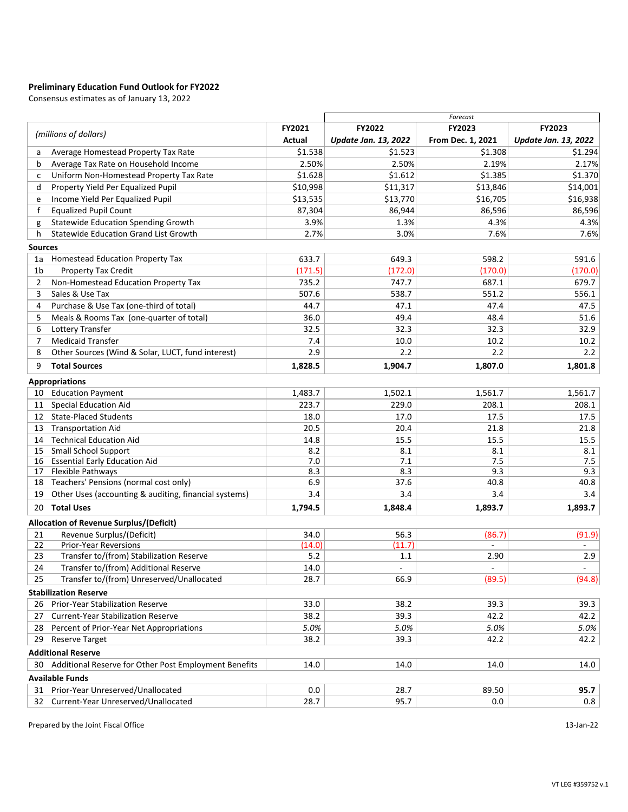# **Preliminary Education Fund Outlook for FY2022**

Consensus estimates as of January 13, 2022

|                |                                                                  |               | Forecast                    |                          |                             |  |  |
|----------------|------------------------------------------------------------------|---------------|-----------------------------|--------------------------|-----------------------------|--|--|
|                |                                                                  | <b>FY2021</b> | <b>FY2022</b>               | <b>FY2023</b>            | <b>FY2023</b>               |  |  |
|                | (millions of dollars)                                            | <b>Actual</b> | <b>Update Jan. 13, 2022</b> | From Dec. 1, 2021        | <b>Update Jan. 13, 2022</b> |  |  |
| a              | Average Homestead Property Tax Rate                              | \$1.538       | \$1.523                     | \$1.308                  | \$1.294                     |  |  |
| $\mathsf{b}$   | Average Tax Rate on Household Income                             | 2.50%         | 2.50%                       | 2.19%                    | 2.17%                       |  |  |
| C              | Uniform Non-Homestead Property Tax Rate                          | \$1.628       | \$1.612                     | \$1.385                  | \$1.370                     |  |  |
| d              | Property Yield Per Equalized Pupil                               | \$10,998      | \$11,317                    | \$13,846                 | \$14,001                    |  |  |
| e              | Income Yield Per Equalized Pupil                                 | \$13,535      | \$13,770                    | \$16,705                 | \$16,938                    |  |  |
|                | <b>Equalized Pupil Count</b>                                     | 87,304        | 86,944                      | 86,596                   | 86,596                      |  |  |
| g              | <b>Statewide Education Spending Growth</b>                       | 3.9%          | 1.3%                        | 4.3%                     | 4.3%                        |  |  |
| h.             | <b>Statewide Education Grand List Growth</b>                     | 2.7%          | 3.0%                        | 7.6%                     | 7.6%                        |  |  |
| <b>Sources</b> |                                                                  |               |                             |                          |                             |  |  |
| 1a             | <b>Homestead Education Property Tax</b>                          | 633.7         | 649.3                       | 598.2                    | 591.6                       |  |  |
| 1b             | <b>Property Tax Credit</b>                                       | (171.5)       | (172.0)                     | (170.0)                  | (170.0)                     |  |  |
| $\overline{2}$ | Non-Homestead Education Property Tax                             | 735.2         | 747.7                       | 687.1                    | 679.7                       |  |  |
| 3              | Sales & Use Tax                                                  | 507.6         | 538.7                       | 551.2                    | 556.1                       |  |  |
| 4              | Purchase & Use Tax (one-third of total)                          | 44.7          | 47.1                        | 47.4                     | 47.5                        |  |  |
| 5              | Meals & Rooms Tax (one-quarter of total)                         | 36.0          | 49.4                        | 48.4                     | 51.6                        |  |  |
| 6              | <b>Lottery Transfer</b>                                          | 32.5          | 32.3                        | 32.3                     | 32.9                        |  |  |
|                | <b>Medicaid Transfer</b>                                         | 7.4           | 10.0                        | 10.2                     | 10.2                        |  |  |
| 8              | Other Sources (Wind & Solar, LUCT, fund interest)                | 2.9           | 2.2                         | 2.2                      | 2.2                         |  |  |
| 9              | <b>Total Sources</b>                                             | 1,828.5       | 1,904.7                     | 1,807.0                  | 1,801.8                     |  |  |
|                |                                                                  |               |                             |                          |                             |  |  |
|                | <b>Appropriations</b>                                            |               |                             |                          |                             |  |  |
| 10             | <b>Education Payment</b>                                         | 1,483.7       | 1,502.1                     | 1,561.7                  | 1,561.7                     |  |  |
| 11             | <b>Special Education Aid</b>                                     | 223.7         | 229.0                       | 208.1                    | 208.1                       |  |  |
| 12             | <b>State-Placed Students</b>                                     | 18.0          | 17.0                        | 17.5                     | 17.5                        |  |  |
| 13             | <b>Transportation Aid</b>                                        | 20.5          | 20.4                        | 21.8                     | 21.8                        |  |  |
| 14             | <b>Technical Education Aid</b>                                   | 14.8          | 15.5                        | 15.5                     | 15.5                        |  |  |
| 15             | <b>Small School Support</b>                                      | 8.2           | 8.1                         | 8.1                      | 8.1                         |  |  |
| 16<br>17       | <b>Essential Early Education Aid</b><br><b>Flexible Pathways</b> | 7.0<br>8.3    | 7.1<br>8.3                  | 7.5<br>9.3               | 7.5<br>9.3                  |  |  |
| 18             | Teachers' Pensions (normal cost only)                            | 6.9           | 37.6                        | 40.8                     | 40.8                        |  |  |
| 19             | Other Uses (accounting & auditing, financial systems)            | 3.4           | 3.4                         | 3.4                      | 3.4                         |  |  |
|                | <b>Total Uses</b>                                                |               |                             |                          |                             |  |  |
| 20             |                                                                  | 1,794.5       | 1,848.4                     | 1,893.7                  | 1,893.7                     |  |  |
|                | <b>Allocation of Revenue Surplus/(Deficit)</b>                   |               |                             |                          |                             |  |  |
| 21             | Revenue Surplus/(Deficit)                                        | 34.0          | 56.3                        | (86.7)                   | (91.9)                      |  |  |
| 22             | <b>Prior-Year Reversions</b>                                     | (14.0)        | (11.7)                      |                          | $\sim$                      |  |  |
| 23             | Transfer to/(from) Stabilization Reserve                         | 5.2           | 1.1                         | 2.90                     | 2.9                         |  |  |
| 24             | Transfer to/(from) Additional Reserve                            | 14.0          |                             | $\overline{\phantom{a}}$ |                             |  |  |
| 25             | Transfer to/(from) Unreserved/Unallocated                        | 28.7          | 66.9                        | (89.5)                   | (94.8)                      |  |  |
|                | <b>Stabilization Reserve</b>                                     |               |                             |                          |                             |  |  |
| 26             | <b>Prior-Year Stabilization Reserve</b>                          | 33.0          | 38.2                        | 39.3                     | 39.3                        |  |  |
| 27             | <b>Current-Year Stabilization Reserve</b>                        | 38.2          | 39.3                        | 42.2                     | 42.2                        |  |  |
| 28             | Percent of Prior-Year Net Appropriations                         | 5.0%          | 5.0%                        | 5.0%                     | 5.0%                        |  |  |
| 29             | <b>Reserve Target</b>                                            | 38.2          | 39.3                        | 42.2                     | 42.2                        |  |  |
|                | <b>Additional Reserve</b>                                        |               |                             |                          |                             |  |  |
| 30             | Additional Reserve for Other Post Employment Benefits            | 14.0          | 14.0                        | 14.0                     | 14.0                        |  |  |
|                | <b>Available Funds</b>                                           |               |                             |                          |                             |  |  |
| 31             | Prior-Year Unreserved/Unallocated                                | 0.0           | 28.7                        | 89.50                    | 95.7                        |  |  |
| 32             | Current-Year Unreserved/Unallocated                              | 28.7          | 95.7                        | 0.0                      | 0.8                         |  |  |

Prepared by the Joint Fiscal Office 13-Jan-22